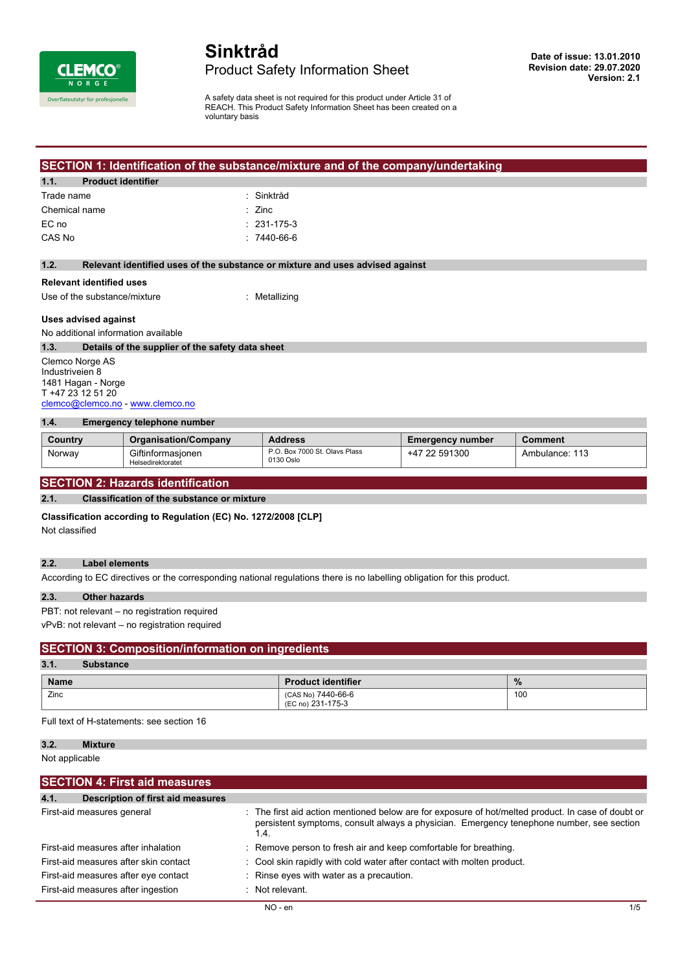

# **Sinktråd** Product Safety Information Sheet

A safety data sheet is not required for this product under Article 31 of REACH. This Product Safety Information Sheet has been created on a voluntary basis

# **SECTION 1: Identification of the substance/mixture and of the company/undertaking**

#### **1.1. Product identifier**

| Trade name    | : Sinktråd        |
|---------------|-------------------|
| Chemical name | $\therefore$ Zinc |
| EC no         | $: 231 - 175 - 3$ |
| CAS No        | $:7440-66-6$      |

#### **1.2. Relevant identified uses of the substance or mixture and uses advised against**

# **Relevant identified uses**

Use of the substance/mixture : Metallizing

#### **Uses advised against**

No additional information available

#### **1.3. Details of the supplier of the safety data sheet**

Clemco Norge AS Industriveien 8 1481 Hagan - Norge T +47 23 12 51 20 [clemco@clemco.no](mailto:clemco@clemco.no) -<www.clemco.no>

#### **1.4. Emergency telephone number**

| Country | <b>Organisation/Company</b>            | <b>Address</b>                             | <b>Emergency number</b> | Comment        |
|---------|----------------------------------------|--------------------------------------------|-------------------------|----------------|
| Norway  | Giftinformasionen<br>Helsedirektoratet | P.O. Box 7000 St. Olavs Plass<br>0130 Oslo | 591300<br>-47           | Ambulance: 113 |

# **SECTION 2: Hazards identification**

# **2.1. Classification of the substance or mixture**

**Classification according to Regulation (EC) No. 1272/2008 [CLP]**

Not classified

#### **2.2. Label elements**

According to EC directives or the corresponding national regulations there is no labelling obligation for this product.

#### **2.3. Other hazards**

PBT: not relevant – no registration required

vPvB: not relevant – no registration required

# **SECTION 3: Composition/information on ingredients**

#### **3.1. Substance Name Product identifier Product identifier** *W* Zinc (CAS No) 7440-66-6 (EC no) 231-175-3 100

Full text of H-statements: see section 16

### **3.2. Mixture**

Not applicable

| <b>SECTION 4: First aid measures</b>             |                                                                                                                                                                                                        |     |
|--------------------------------------------------|--------------------------------------------------------------------------------------------------------------------------------------------------------------------------------------------------------|-----|
| <b>Description of first aid measures</b><br>4.1. |                                                                                                                                                                                                        |     |
| First-aid measures general                       | : The first aid action mentioned below are for exposure of hot/melted product. In case of doubt or<br>persistent symptoms, consult always a physician. Emergency tenephone number, see section<br>1.4. |     |
| First-aid measures after inhalation              | : Remove person to fresh air and keep comfortable for breathing.                                                                                                                                       |     |
| First-aid measures after skin contact            | : Cool skin rapidly with cold water after contact with molten product.                                                                                                                                 |     |
| First-aid measures after eye contact             | : Rinse eyes with water as a precaution.                                                                                                                                                               |     |
| First-aid measures after ingestion               | $\therefore$ Not relevant.                                                                                                                                                                             |     |
|                                                  | NO - en                                                                                                                                                                                                | 1/5 |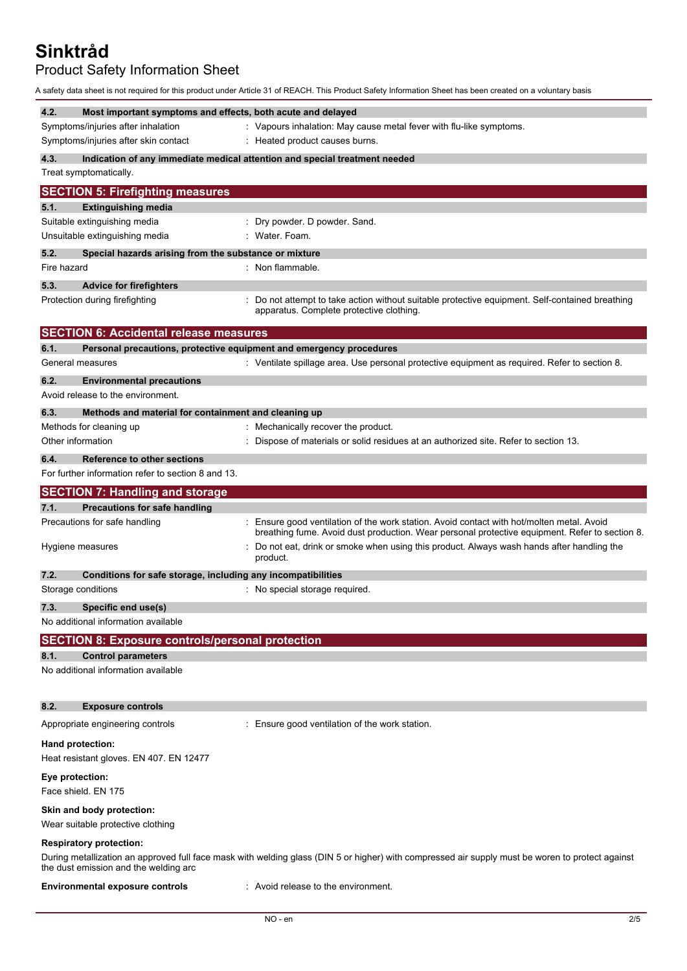Product Safety Information Sheet

A safety data sheet is not required for this product under Article 31 of REACH. This Product Safety Information Sheet has been created on a voluntary basis

| 4.2.            | Most important symptoms and effects, both acute and delayed             |                                                                                                                                                  |
|-----------------|-------------------------------------------------------------------------|--------------------------------------------------------------------------------------------------------------------------------------------------|
|                 | Symptoms/injuries after inhalation                                      | : Vapours inhalation: May cause metal fever with flu-like symptoms.                                                                              |
|                 | Symptoms/injuries after skin contact                                    | : Heated product causes burns.                                                                                                                   |
| 4.3.            |                                                                         | Indication of any immediate medical attention and special treatment needed                                                                       |
|                 | Treat symptomatically.                                                  |                                                                                                                                                  |
|                 | <b>SECTION 5: Firefighting measures</b>                                 |                                                                                                                                                  |
| 5.1.            | <b>Extinguishing media</b>                                              |                                                                                                                                                  |
|                 | Suitable extinguishing media                                            | : Dry powder. D powder. Sand.                                                                                                                    |
|                 | Unsuitable extinguishing media                                          | : Water Foam.                                                                                                                                    |
| 5.2.            | Special hazards arising from the substance or mixture                   |                                                                                                                                                  |
| Fire hazard     |                                                                         | : Non flammable.                                                                                                                                 |
| 5.3.            | <b>Advice for firefighters</b>                                          |                                                                                                                                                  |
|                 | Protection during firefighting                                          | Do not attempt to take action without suitable protective equipment. Self-contained breathing<br>apparatus. Complete protective clothing.        |
|                 | <b>SECTION 6: Accidental release measures</b>                           |                                                                                                                                                  |
| 6.1.            | Personal precautions, protective equipment and emergency procedures     |                                                                                                                                                  |
|                 | General measures                                                        | : Ventilate spillage area. Use personal protective equipment as required. Refer to section 8.                                                    |
| 6.2.            | <b>Environmental precautions</b>                                        |                                                                                                                                                  |
|                 | Avoid release to the environment.                                       |                                                                                                                                                  |
|                 |                                                                         |                                                                                                                                                  |
| 6.3.            | Methods and material for containment and cleaning up                    |                                                                                                                                                  |
|                 | Methods for cleaning up                                                 | Mechanically recover the product.                                                                                                                |
|                 | Other information                                                       | Dispose of materials or solid residues at an authorized site. Refer to section 13.                                                               |
| 6.4.            | <b>Reference to other sections</b>                                      |                                                                                                                                                  |
|                 | For further information refer to section 8 and 13.                      |                                                                                                                                                  |
|                 | <b>SECTION 7: Handling and storage</b>                                  |                                                                                                                                                  |
|                 |                                                                         |                                                                                                                                                  |
| 7.1.            |                                                                         |                                                                                                                                                  |
|                 | <b>Precautions for safe handling</b><br>Precautions for safe handling   | Ensure good ventilation of the work station. Avoid contact with hot/molten metal. Avoid                                                          |
|                 |                                                                         | breathing fume. Avoid dust production. Wear personal protective equipment. Refer to section 8.                                                   |
|                 | Hygiene measures                                                        | Do not eat, drink or smoke when using this product. Always wash hands after handling the<br>product.                                             |
| 7.2.            | Conditions for safe storage, including any incompatibilities            |                                                                                                                                                  |
|                 | Storage conditions                                                      | : No special storage required.                                                                                                                   |
|                 |                                                                         |                                                                                                                                                  |
| 7.3.            | Specific end use(s)                                                     |                                                                                                                                                  |
|                 | No additional information available                                     |                                                                                                                                                  |
|                 | <b>SECTION 8: Exposure controls/personal protection</b>                 |                                                                                                                                                  |
| 8.1.            | <b>Control parameters</b>                                               |                                                                                                                                                  |
|                 | No additional information available                                     |                                                                                                                                                  |
| 8.2.            | <b>Exposure controls</b>                                                |                                                                                                                                                  |
|                 | Appropriate engineering controls                                        | : Ensure good ventilation of the work station.                                                                                                   |
|                 | Hand protection:                                                        |                                                                                                                                                  |
|                 | Heat resistant gloves. EN 407. EN 12477                                 |                                                                                                                                                  |
| Eye protection: | Face shield. EN 175                                                     |                                                                                                                                                  |
|                 | Skin and body protection:<br>Wear suitable protective clothing          |                                                                                                                                                  |
|                 | <b>Respiratory protection:</b><br>the dust emission and the welding arc | During metallization an approved full face mask with welding glass (DIN 5 or higher) with compressed air supply must be woren to protect against |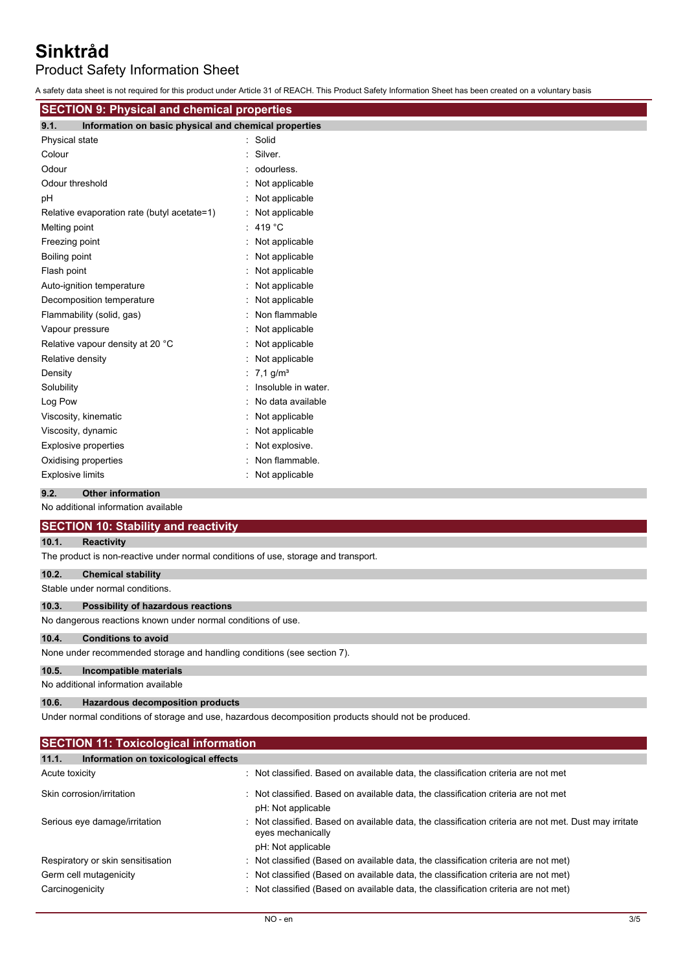Product Safety Information Sheet

A safety data sheet is not required for this product under Article 31 of REACH. This Product Safety Information Sheet has been created on a voluntary basis

| <b>SECTION 9: Physical and chemical properties</b>            |                        |  |
|---------------------------------------------------------------|------------------------|--|
| Information on basic physical and chemical properties<br>9.1. |                        |  |
| Physical state                                                | : Solid                |  |
| Colour                                                        | Silver.                |  |
| Odour                                                         | : odourless.           |  |
| Odour threshold                                               | : Not applicable       |  |
| рH                                                            | : Not applicable       |  |
| Relative evaporation rate (butyl acetate=1)                   | : Not applicable       |  |
| Melting point                                                 | : 419 °C               |  |
| Freezing point                                                | : Not applicable       |  |
| Boiling point                                                 | : Not applicable       |  |
| Flash point                                                   | : Not applicable       |  |
| Auto-ignition temperature                                     | : Not applicable       |  |
| Decomposition temperature                                     | Not applicable         |  |
| Flammability (solid, gas)                                     | Non flammable          |  |
| Vapour pressure                                               | : Not applicable       |  |
| Relative vapour density at 20 °C                              | : Not applicable       |  |
| Relative density                                              | : Not applicable       |  |
| Density                                                       | : 7.1 g/m <sup>3</sup> |  |
| Solubility                                                    | : Insoluble in water.  |  |
| Log Pow                                                       | : No data available    |  |
| Viscosity, kinematic                                          | : Not applicable       |  |
| Viscosity, dynamic                                            | : Not applicable       |  |
| <b>Explosive properties</b>                                   | Not explosive.         |  |
| Oxidising properties                                          | Non flammable.         |  |
| <b>Explosive limits</b>                                       | Not applicable         |  |

# **9.2. Other information**

No additional information available

# **SECTION 10: Stability and reactivity**

#### **10.1. Reactivity**

The product is non-reactive under normal conditions of use, storage and transport.

## **10.2. Chemical stability**

Stable under normal conditions.

# **10.3. Possibility of hazardous reactions**

No dangerous reactions known under normal conditions of use.

# **10.4. Conditions to avoid**

None under recommended storage and handling conditions (see section 7).

### **10.5. Incompatible materials**

No additional information available

# **10.6. Hazardous decomposition products**

Under normal conditions of storage and use, hazardous decomposition products should not be produced.

| <b>SECTION 11: Toxicological information</b>  |                                                                                                                                                |  |
|-----------------------------------------------|------------------------------------------------------------------------------------------------------------------------------------------------|--|
| 11.1.<br>Information on toxicological effects |                                                                                                                                                |  |
| Acute toxicity                                | : Not classified. Based on available data, the classification criteria are not met                                                             |  |
| Skin corrosion/irritation                     | Not classified. Based on available data, the classification criteria are not met<br>pH: Not applicable                                         |  |
| Serious eye damage/irritation                 | Not classified. Based on available data, the classification criteria are not met. Dust may irritate<br>eyes mechanically<br>pH: Not applicable |  |
| Respiratory or skin sensitisation             | : Not classified (Based on available data, the classification criteria are not met)                                                            |  |
| Germ cell mutagenicity                        | : Not classified (Based on available data, the classification criteria are not met)                                                            |  |
| Carcinogenicity                               | : Not classified (Based on available data, the classification criteria are not met)                                                            |  |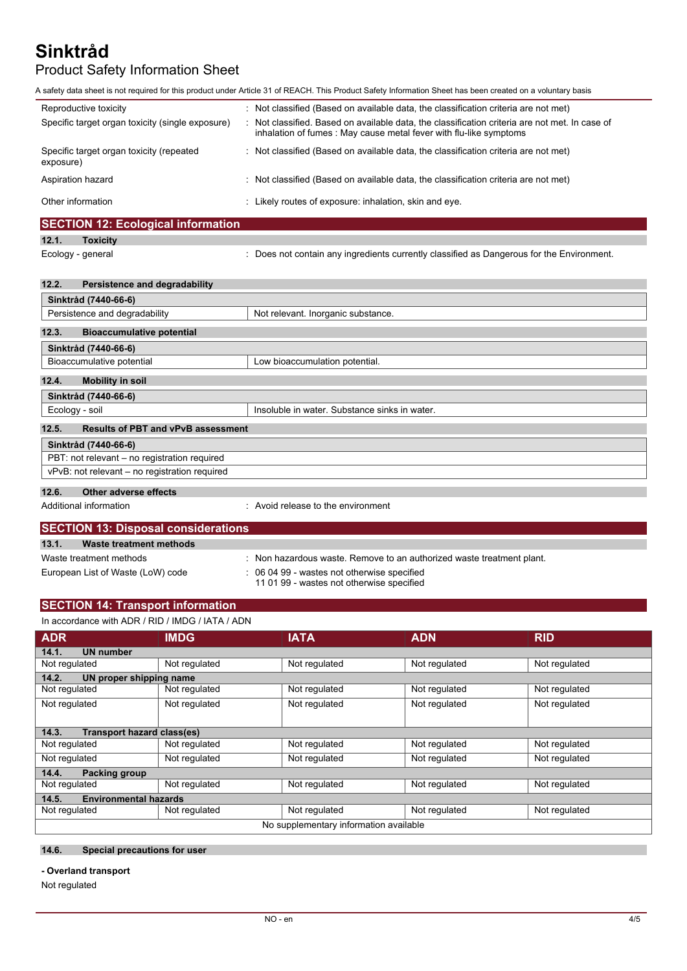# Product Safety Information Sheet

A safety data sheet is not required for this product under Article 31 of REACH. This Product Safety Information Sheet has been created on a voluntary basis

| Reproductive toxicity<br>Specific target organ toxicity (single exposure) | : Not classified (Based on available data, the classification criteria are not met)<br>Not classified. Based on available data, the classification criteria are not met. In case of<br>inhalation of fumes: May cause metal fever with flu-like symptoms |
|---------------------------------------------------------------------------|----------------------------------------------------------------------------------------------------------------------------------------------------------------------------------------------------------------------------------------------------------|
| Specific target organ toxicity (repeated<br>exposure)                     | : Not classified (Based on available data, the classification criteria are not met)                                                                                                                                                                      |
| Aspiration hazard                                                         | : Not classified (Based on available data, the classification criteria are not met)                                                                                                                                                                      |
| Other information                                                         | Likely routes of exposure: inhalation, skin and eye.                                                                                                                                                                                                     |

# **SECTION 12: Ecological information**

**12.1. Toxicity**

Ecology - general **induced in the Environment.** Does not contain any ingredients currently classified as Dangerous for the Environment.

# **12.2. Persistence and degradability**

| Sinktråd (7440-66-6)                                                |                                               |
|---------------------------------------------------------------------|-----------------------------------------------|
| Persistence and degradability<br>Not relevant. Inorganic substance. |                                               |
|                                                                     |                                               |
| 12.3.<br><b>Bioaccumulative potential</b>                           |                                               |
| Sinktråd (7440-66-6)                                                |                                               |
| Bioaccumulative potential                                           | Low bioaccumulation potential.                |
| 12.4.<br><b>Mobility in soil</b>                                    |                                               |
| Sinktråd (7440-66-6)                                                |                                               |
| Ecology - soil                                                      | Insoluble in water. Substance sinks in water. |
|                                                                     |                                               |
| <b>Results of PBT and vPvB assessment</b><br>12.5.                  |                                               |
| Sinktråd (7440-66-6)                                                |                                               |
| PBT: not relevant - no registration required                        |                                               |
| vPvB: not relevant – no registration required                       |                                               |
|                                                                     |                                               |
| 12.6.<br>Other adverse effects                                      |                                               |

Additional information **interest in the environment** : Avoid release to the environment

| <b>SECTION 13: Disposal considerations</b> |                                                                                          |  |
|--------------------------------------------|------------------------------------------------------------------------------------------|--|
| 13.1.<br>Waste treatment methods           |                                                                                          |  |
| Waste treatment methods                    | : Non hazardous waste. Remove to an authorized waste treatment plant.                    |  |
| European List of Waste (LoW) code          | : 06 04 99 - wastes not otherwise specified<br>11 01 99 - wastes not otherwise specified |  |

# **SECTION 14: Transport information**

| In accordance with ADR / RID / IMDG / IATA / ADN |               |               |               |               |
|--------------------------------------------------|---------------|---------------|---------------|---------------|
| <b>ADR</b>                                       | <b>IMDG</b>   | <b>IATA</b>   | <b>ADN</b>    | <b>RID</b>    |
| <b>UN number</b><br>14.1.                        |               |               |               |               |
| Not regulated                                    | Not regulated | Not regulated | Not regulated | Not regulated |
| 14.2.<br>UN proper shipping name                 |               |               |               |               |
| Not regulated                                    | Not regulated | Not regulated | Not regulated | Not regulated |
| Not regulated                                    | Not regulated | Not regulated | Not regulated | Not regulated |
|                                                  |               |               |               |               |
| <b>Transport hazard class(es)</b><br>14.3.       |               |               |               |               |
| Not regulated                                    | Not regulated | Not regulated | Not regulated | Not regulated |
| Not regulated                                    | Not regulated | Not regulated | Not regulated | Not regulated |
| <b>Packing group</b><br>14.4.                    |               |               |               |               |
| Not regulated                                    | Not regulated | Not regulated | Not regulated | Not regulated |
| <b>Environmental hazards</b><br>14.5.            |               |               |               |               |
| Not regulated                                    | Not regulated | Not regulated | Not regulated | Not regulated |
| No supplementary information available           |               |               |               |               |

# **14.6. Special precautions for user**

#### **- Overland transport**

Not regulated